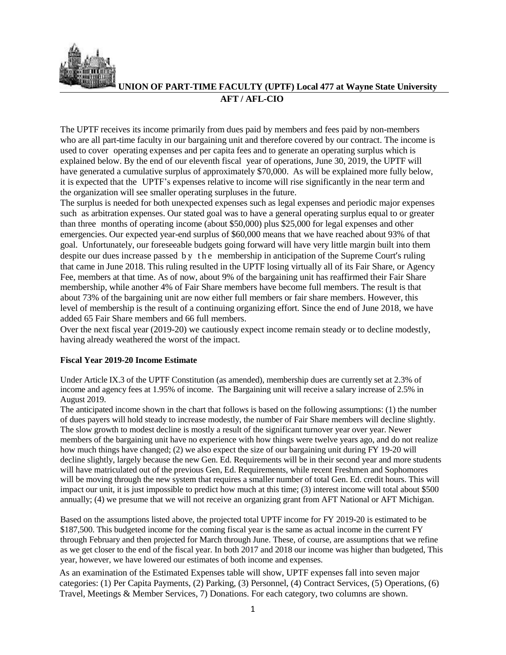

**UNION OF PART-TIME FACULTY (UPTF) Local 477 at Wayne State University**

## **AFT / AFL-CIO**

The UPTF receives its income primarily from dues paid by members and fees paid by non-members who are all part-time faculty in our bargaining unit and therefore covered by our contract. The income is used to cover operating expenses and per capita fees and to generate an operating surplus which is explained below. By the end of our eleventh fiscal year of operations, June 30, 2019, the UPTF will have generated a cumulative surplus of approximately \$70,000. As will be explained more fully below, it is expected that the UPTF's expenses relative to income will rise significantly in the near term and the organization will see smaller operating surpluses in the future.

The surplus is needed for both unexpected expenses such as legal expenses and periodic major expenses such as arbitration expenses. Our stated goal was to have a general operating surplus equal to or greater than three months of operating income (about \$50,000) plus \$25,000 for legal expenses and other emergencies. Our expected year-end surplus of \$60,000 means that we have reached about 93% of that goal. Unfortunately, our foreseeable budgets going forward will have very little margin built into them despite our dues increase passed by the membership in anticipation of the Supreme Court's ruling that came in June 2018. This ruling resulted in the UPTF losing virtually all of its Fair Share, or Agency Fee, members at that time. As of now, about 9% of the bargaining unit has reaffirmed their Fair Share membership, while another 4% of Fair Share members have become full members. The result is that about 73% of the bargaining unit are now either full members or fair share members. However, this level of membership is the result of a continuing organizing effort. Since the end of June 2018, we have added 65 Fair Share members and 66 full members.

Over the next fiscal year (2019-20) we cautiously expect income remain steady or to decline modestly, having already weathered the worst of the impact.

## **Fiscal Year 2019-20 Income Estimate**

Under Article IX.3 of the UPTF Constitution (as amended), membership dues are currently set at 2.3% of income and agency fees at 1.95% of income. The Bargaining unit will receive a salary increase of 2.5% in August 2019.

The anticipated income shown in the chart that follows is based on the following assumptions: (1) the number of dues payers will hold steady to increase modestly, the number of Fair Share members will decline slightly. The slow growth to modest decline is mostly a result of the significant turnover year over year. Newer members of the bargaining unit have no experience with how things were twelve years ago, and do not realize how much things have changed; (2) we also expect the size of our bargaining unit during FY 19-20 will decline slightly, largely because the new Gen. Ed. Requirements will be in their second year and more students will have matriculated out of the previous Gen, Ed. Requirements, while recent Freshmen and Sophomores will be moving through the new system that requires a smaller number of total Gen. Ed. credit hours. This will impact our unit, it is just impossible to predict how much at this time; (3) interest income will total about \$500 annually; (4) we presume that we will not receive an organizing grant from AFT National or AFT Michigan.

Based on the assumptions listed above, the projected total UPTF income for FY 2019-20 is estimated to be \$187,500. This budgeted income for the coming fiscal year is the same as actual income in the current FY through February and then projected for March through June. These, of course, are assumptions that we refine as we get closer to the end of the fiscal year. In both 2017 and 2018 our income was higher than budgeted, This year, however, we have lowered our estimates of both income and expenses.

As an examination of the Estimated Expenses table will show, UPTF expenses fall into seven major categories: (1) Per Capita Payments, (2) Parking, (3) Personnel, (4) Contract Services, (5) Operations, (6) Travel, Meetings & Member Services, 7) Donations. For each category, two columns are shown.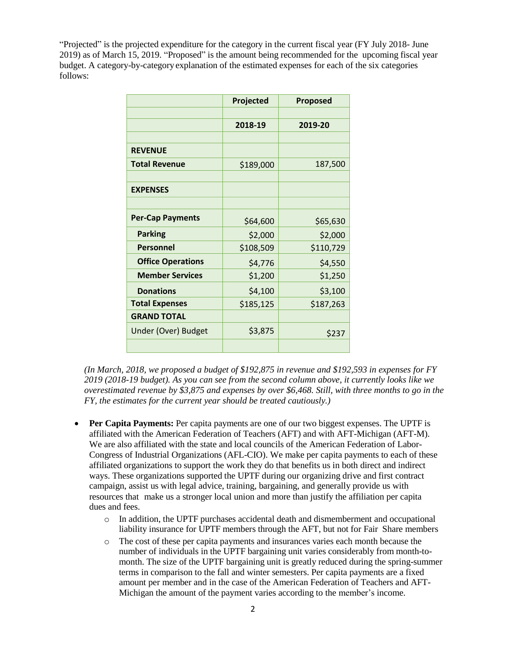"Projected" is the projected expenditure for the category in the current fiscal year (FY July 2018- June 2019) as of March 15, 2019. "Proposed" is the amount being recommended for the upcoming fiscal year budget. A category-by-category explanation of the estimated expenses for each of the six categories follows:

|                          | Projected | <b>Proposed</b> |
|--------------------------|-----------|-----------------|
|                          |           |                 |
|                          | 2018-19   | 2019-20         |
|                          |           |                 |
| <b>REVENUE</b>           |           |                 |
| <b>Total Revenue</b>     | \$189,000 | 187,500         |
|                          |           |                 |
| <b>EXPENSES</b>          |           |                 |
|                          |           |                 |
| <b>Per-Cap Payments</b>  | \$64,600  | \$65,630        |
| <b>Parking</b>           | \$2,000   | \$2,000         |
| <b>Personnel</b>         | \$108,509 | \$110,729       |
| <b>Office Operations</b> | \$4,776   | \$4,550         |
| <b>Member Services</b>   | \$1,200   | \$1,250         |
| <b>Donations</b>         | \$4,100   | \$3,100         |
| <b>Total Expenses</b>    | \$185,125 | \$187,263       |
| <b>GRAND TOTAL</b>       |           |                 |
| Under (Over) Budget      | \$3,875   | \$237           |
|                          |           |                 |

*(In March, 2018, we proposed a budget of \$192,875 in revenue and \$192,593 in expenses for FY 2019 (2018-19 budget). As you can see from the second column above, it currently looks like we overestimated revenue by \$3,875 and expenses by over \$6,468. Still, with three months to go in the FY, the estimates for the current year should be treated cautiously.)*

- **Per Capita Payments:** Per capita payments are one of our two biggest expenses. The UPTF is affiliated with the American Federation of Teachers (AFT) and with AFT-Michigan (AFT-M). We are also affiliated with the state and local councils of the American Federation of Labor-Congress of Industrial Organizations (AFL-CIO). We make per capita payments to each of these affiliated organizations to support the work they do that benefits us in both direct and indirect ways. These organizations supported the UPTF during our organizing drive and first contract campaign, assist us with legal advice, training, bargaining, and generally provide us with resources that make us a stronger local union and more than justify the affiliation per capita dues and fees.
	- o In addition, the UPTF purchases accidental death and dismemberment and occupational liability insurance for UPTF members through the AFT, but not for Fair Share members
	- o The cost of these per capita payments and insurances varies each month because the number of individuals in the UPTF bargaining unit varies considerably from month-tomonth. The size of the UPTF bargaining unit is greatly reduced during the spring-summer terms in comparison to the fall and winter semesters. Per capita payments are a fixed amount per member and in the case of the American Federation of Teachers and AFT-Michigan the amount of the payment varies according to the member's income.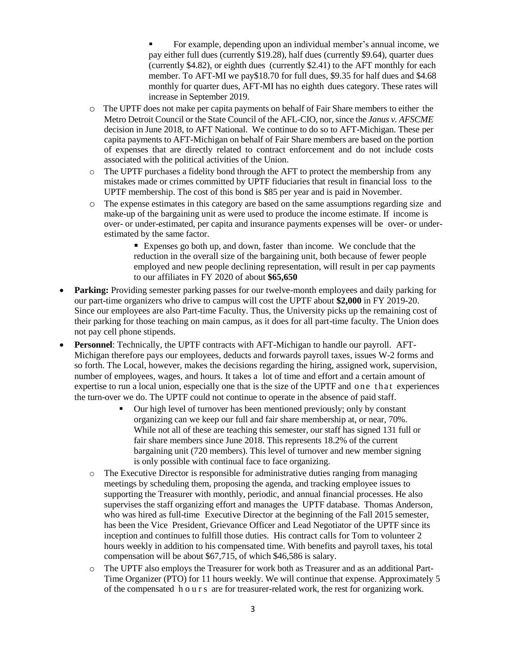▪ For example, depending upon an individual member's annual income, we pay either full dues (currently \$19.28), half dues (currently \$9.64), quarter dues (currently \$4.82), or eighth dues (currently \$2.41) to the AFT monthly for each member. To AFT-MI we pay\$18.70 for full dues, \$9.35 for half dues and \$4.68 monthly for quarter dues, AFT-MI has no eighth dues category. These rates will increase in September 2019.

- o The UPTF does not make per capita payments on behalf of Fair Share members to either the Metro Detroit Council or the State Council of the AFL-CIO, nor, since the *Janus v. AFSCME* decision in June 2018, to AFT National. We continue to do so to AFT-Michigan. These per capita payments to AFT-Michigan on behalf of Fair Share members are based on the portion of expenses that are directly related to contract enforcement and do not include costs associated with the political activities of the Union.
- $\circ$  The UPTF purchases a fidelity bond through the AFT to protect the membership from any mistakes made or crimes committed by UPTF fiduciaries that result in financial loss to the UPTF membership. The cost of this bond is \$85 per year and is paid in November.
- o The expense estimates in this category are based on the same assumptions regarding size and make-up of the bargaining unit as were used to produce the income estimate. If income is over- or under-estimated, per capita and insurance payments expenses will be over- or underestimated by the same factor.

■ Expenses go both up, and down, faster than income. We conclude that the reduction in the overall size of the bargaining unit, both because of fewer people employed and new people declining representation, will result in per cap payments to our affiliates in FY 2020 of about **\$65,650**

- **Parking:** Providing semester parking passes for our twelve-month employees and daily parking for our part-time organizers who drive to campus will cost the UPTF about **\$2,000** in FY 2019-20. Since our employees are also Part-time Faculty. Thus, the University picks up the remaining cost of their parking for those teaching on main campus, as it does for all part-time faculty. The Union does not pay cell phone stipends.
- **Personnel**: Technically, the UPTF contracts with AFT-Michigan to handle our payroll. AFT-Michigan therefore pays our employees, deducts and forwards payroll taxes, issues W-2 forms and so forth. The Local, however, makes the decisions regarding the hiring, assigned work, supervision, number of employees, wages, and hours. It takes a lot of time and effort and a certain amount of expertise to run a local union, especially one that is the size of the UPTF and one that experiences the turn-over we do. The UPTF could not continue to operate in the absence of paid staff.
	- Our high level of turnover has been mentioned previously; only by constant organizing can we keep our full and fair share membership at, or near, 70%. While not all of these are teaching this semester, our staff has signed 131 full or fair share members since June 2018. This represents 18.2% of the current bargaining unit (720 members). This level of turnover and new member signing is only possible with continual face to face organizing.
	- o The Executive Director is responsible for administrative duties ranging from managing meetings by scheduling them, proposing the agenda, and tracking employee issues to supporting the Treasurer with monthly, periodic, and annual financial processes. He also supervises the staff organizing effort and manages the UPTF database. Thomas Anderson, who was hired as full-time Executive Director at the beginning of the Fall 2015 semester, has been the Vice President, Grievance Officer and Lead Negotiator of the UPTF since its inception and continues to fulfill those duties. His contract calls for Tom to volunteer 2 hours weekly in addition to his compensated time. With benefits and payroll taxes, his total compensation will be about \$67,715, of which \$46,586 is salary.
	- o The UPTF also employs the Treasurer for work both as Treasurer and as an additional Part-Time Organizer (PTO) for 11 hours weekly. We will continue that expense. Approximately 5 of the compensated h o u r s are for treasurer-related work, the rest for organizing work.